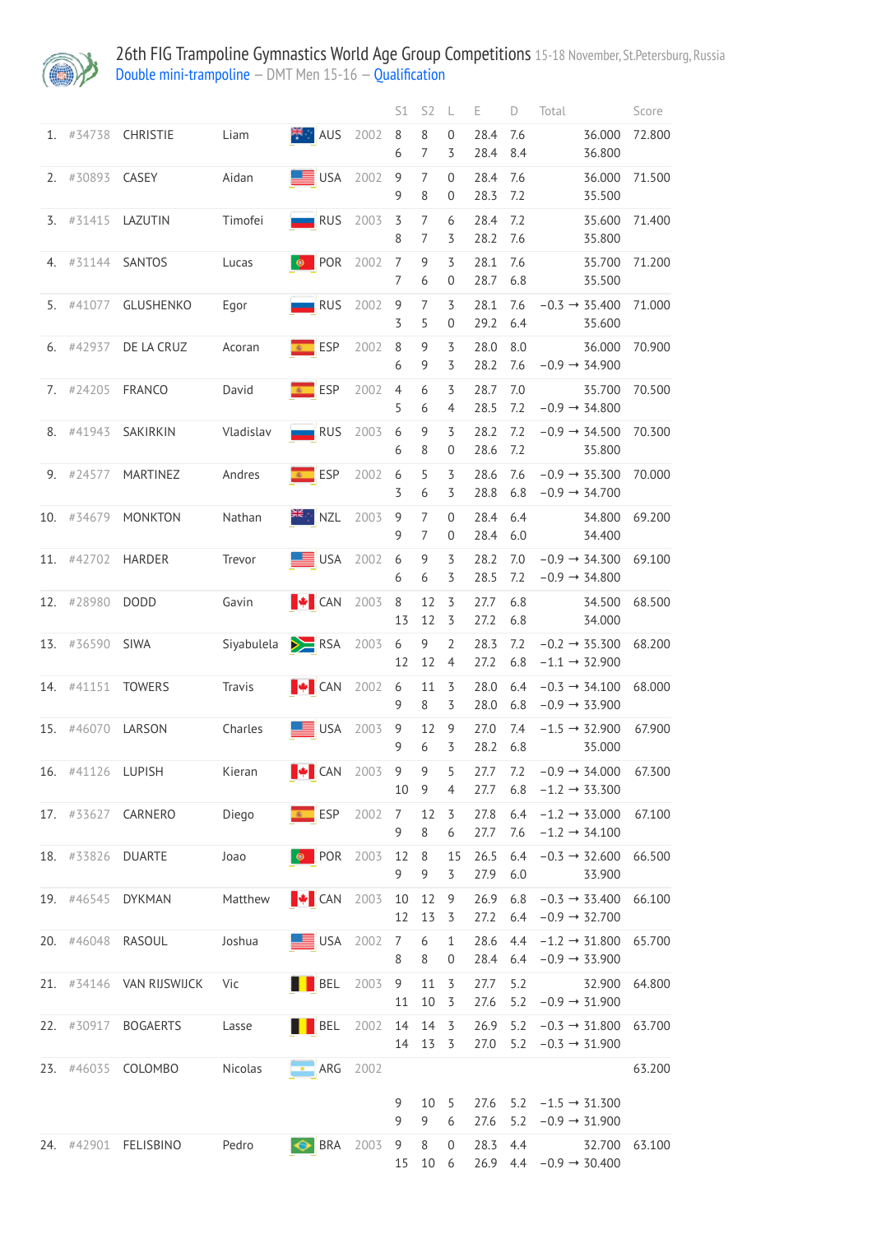

26th FIG Trampoline Gymnastics World Age Group Competitions 15-18 November, St.Petersburg, Russia **[Double mini-trampoline](http://192.168.1.10:9001/event/DMT)** – DMT Men 15-16 – [Qualification](http://192.168.1.10:9001/stages/5)

|     |                   |                          |            |                             |      | S1                  | S <sub>2</sub>      | L                     | Е            | D          | Total                                                      |                                                        | Score  |
|-----|-------------------|--------------------------|------------|-----------------------------|------|---------------------|---------------------|-----------------------|--------------|------------|------------------------------------------------------------|--------------------------------------------------------|--------|
| 1.  | #34738            | CHRISTIE                 | Liam       | <b>X</b> AUS                | 2002 | $\,8\,$<br>6        | 8<br>$\overline{7}$ | $\mathbf 0$<br>3      | 28.4<br>28.4 | 7.6<br>8.4 |                                                            | 36.000<br>36.800                                       | 72.800 |
| 2.  | #30893            | CASEY                    | Aidan      | $\equiv$ USA                | 2002 | $\overline{9}$<br>9 | $\overline{7}$<br>8 | $\boldsymbol{0}$<br>0 | 28.4<br>28.3 | 7.6<br>7.2 |                                                            | 36.000<br>35.500                                       | 71.500 |
| 3.  | #31415            | LAZUTIN                  | Timofei    | RUS                         | 2003 | 3<br>8              | 7<br>7              | 6<br>3                | 28.4<br>28.2 | 7.2<br>7.6 |                                                            | 35.600<br>35.800                                       | 71.400 |
| 4.  | #31144            | SANTOS                   | Lucas      | <b>O</b> POR                | 2002 | 7<br>$\overline{7}$ | 9<br>6              | 3<br>$\mathbf 0$      | 28.1<br>28.7 | 7.6<br>6.8 |                                                            | 35.700<br>35.500                                       | 71.200 |
| 5.  | #41077            | <b>GLUSHENKO</b>         | Egor       | $\blacksquare$ RUS          | 2002 | 9<br>3              | $\overline{7}$<br>5 | 3<br>$\mathbf 0$      | 28.1<br>29.2 | 7.6<br>6.4 |                                                            | $-0.3 \rightarrow 35.400$<br>35.600                    | 71.000 |
| 6.  | #42937            | DE LA CRUZ               | Acoran     | € ESP                       | 2002 | 8<br>6              | 9<br>9              | 3<br>3                | 28.0<br>28.2 | 8.0<br>7.6 |                                                            | 36.000<br>$-0.9 \rightarrow 34.900$                    | 70.900 |
| 7.  | #24205            | FRANCO                   | David      | <b>EXP</b> ESP              | 2002 | $\overline{4}$<br>5 | 6<br>6              | 3<br>$\overline{4}$   | 28.7<br>28.5 | 7.0<br>7.2 |                                                            | 35.700<br>$-0.9 \rightarrow 34.800$                    | 70.500 |
| 8.  | #41943            | SAKIRKIN                 | Vladislav  | $\blacksquare$ RUS          | 2003 | 6<br>6              | 9<br>8              | 3<br>0                | 28.2<br>28.6 | 7.2<br>7.2 |                                                            | $-0.9 \rightarrow 34.500$<br>35.800                    | 70.300 |
| 9.  | #24577            | MARTINEZ                 | Andres     | <b>EXP</b> ESP              | 2002 | 6<br>3              | 5<br>6              | 3<br>3                | 28.6<br>28.8 | 7.6<br>6.8 | $-0.9 \rightarrow 34.700$                                  | $-0.9 \rightarrow 35.300$                              | 70.000 |
| 10. | #34679            | <b>MONKTON</b>           | Nathan     | <b>NZL</b>                  | 2003 | 9<br>9              | 7<br>7              | 0<br>0                | 28.4<br>28.4 | 6.4<br>6.0 |                                                            | 34.800<br>34.400                                       | 69.200 |
| 11. | #42702            | <b>HARDER</b>            | Trevor     | $\equiv$ USA                | 2002 | 6<br>6              | 9<br>6              | 3<br>3                | 28.2<br>28.5 | 7.0<br>7.2 |                                                            | $-0.9 \rightarrow 34.300$<br>$-0.9 \rightarrow 34.800$ | 69.100 |
| 12. | #28980            | <b>DODD</b>              | Gavin      | <b>+</b> CAN                | 2003 | $\,8\,$<br>13       | 12<br>12            | 3<br>3                | 27.7<br>27.2 | 6.8<br>6.8 |                                                            | 34.500<br>34.000                                       | 68.500 |
| 13. | #36590            | SIWA                     | Siyabulela | $\sum$ RSA                  | 2003 | 6<br>12             | 9<br>12             | $\overline{2}$<br>4   | 28.3<br>27.2 | 7.2<br>6.8 | $-0.2 \rightarrow 35.300$<br>$-1.1 \rightarrow 32.900$     |                                                        | 68.200 |
| 14. | #41151            | <b>TOWERS</b>            | Travis     | <b>I</b> CAN                | 2002 | 6<br>9              | 11<br>8             | 3<br>3                | 28.0<br>28.0 | 6.4<br>6.8 | $-0.9 \rightarrow 33.900$                                  | $-0.3 \rightarrow 34.100$                              | 68.000 |
| 15. | #46070            | LARSON                   | Charles    | <b>USA</b>                  | 2003 | 9<br>9              | 12<br>6             | 9<br>3                | 27.0<br>28.2 | 7.4<br>6.8 |                                                            | $-1.5 \rightarrow 32.900$<br>35.000                    | 67.900 |
|     | 16. #41126 LUPISH |                          | Kieran     | <b>+</b> CAN                | 2003 | 9<br>10             | 9<br>9              | 5<br>4                | 27.7<br>27.7 | 7.2<br>6.8 | $-1.2 \rightarrow 33.300$                                  | $-0.9 \rightarrow 34.000$                              | 67.300 |
|     |                   | 17. #33627 CARNERO       | Diego      | C ESP                       | 2002 | 7<br>9              | 12<br>8             | 3<br>6                | 27.8<br>27.7 | 6.4<br>7.6 | $-1.2 \rightarrow 34.100$                                  | $-1.2 \rightarrow 33.000$                              | 67.100 |
|     | 18. #33826        | <b>DUARTE</b>            | Joao       | <b>O</b> POR                | 2003 | 12<br>9             | 8<br>9              | 15<br>3               | 26.5<br>27.9 | 6.4<br>6.0 |                                                            | $-0.3 \rightarrow 32.600$<br>33.900                    | 66.500 |
|     | <b>19.</b> #46545 | <b>DYKMAN</b>            | Matthew    | $\blacktriangleright$ CAN   | 2003 | 10<br>12            | 12<br>13            | 9<br>3                | 26.9<br>27.2 | 6.8<br>6.4 | $-0.3 \rightarrow 33,400$<br>$-0.9 \rightarrow 32.700$     |                                                        | 66.100 |
|     | 20. #46048        | RASOUL                   | Joshua     | $\equiv$ USA                | 2002 | $\overline{7}$<br>8 | 6<br>8              | $\mathbf{1}$<br>0     | 28.6<br>28.4 | 4.4<br>6.4 | $-0.9 \rightarrow 33.900$                                  | $-1.2 \rightarrow 31.800$                              | 65.700 |
|     |                   | 21. #34146 VAN RIJSWIJCK | Vic        | <b>N</b> BEL                | 2003 | 9<br>11             | 11<br>10            | 3<br>3                | 27.7<br>27.6 | 5.2<br>5.2 | $-0.9 \rightarrow 31.900$                                  | 32.900                                                 | 64.800 |
|     | 22. #30917        | <b>BOGAERTS</b>          | Lasse      | BEL                         | 2002 | 14<br>14            | 14<br>13            | 3<br>3                | 26.9<br>27.0 | 5.2<br>5.2 | $-0.3 \rightarrow 31.800$<br>$-0.3 \rightarrow 31.900$     |                                                        | 63.700 |
|     |                   | 23. #46035 COLOMBO       | Nicolas    | ARG                         | 2002 |                     |                     |                       |              |            |                                                            |                                                        | 63.200 |
|     |                   |                          |            |                             |      | 9<br>9              | 10<br>9             | - 5<br>6              | 27.6<br>27.6 | 5.2        | $5.2 -1.5 \rightarrow 31.300$<br>$-0.9 \rightarrow 31.900$ |                                                        |        |
|     |                   | 24. #42901 FELISBINO     | Pedro      | $\boxed{\bigodot}$ BRA 2003 |      | 9<br>15             | 8<br>10             | $\mathbf 0$<br>6      | 28.3<br>26.9 | 4.4        | $4.4 -0.9 \rightarrow 30.400$                              | 32.700                                                 | 63.100 |